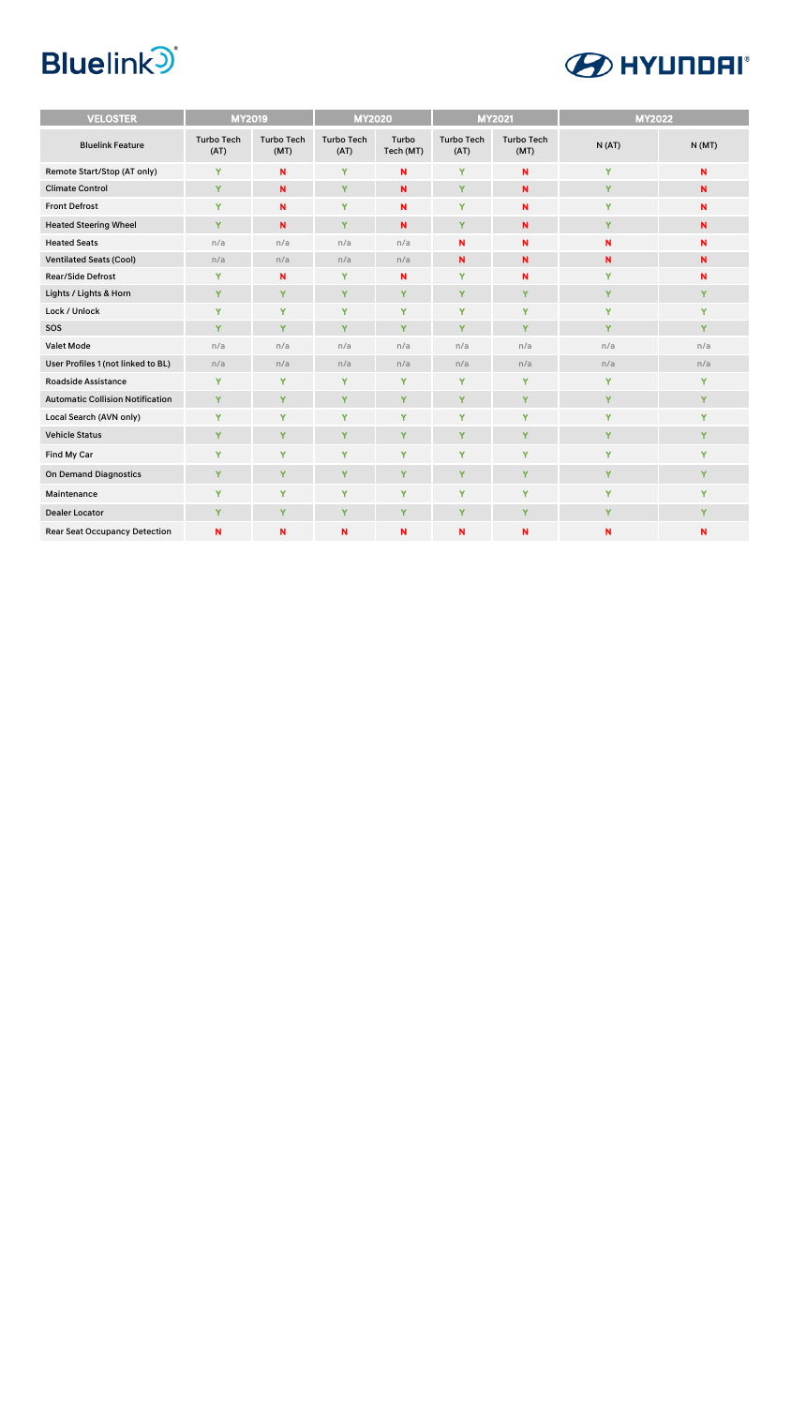

| <b>VELOSTER</b>                         | <b>MY2019</b>             |                           | <b>MY2020</b>             |                    |                           | <b>MY2021</b>             | <b>MY2022</b> |             |
|-----------------------------------------|---------------------------|---------------------------|---------------------------|--------------------|---------------------------|---------------------------|---------------|-------------|
| <b>Bluelink Feature</b>                 | <b>Turbo Tech</b><br>(AT) | <b>Turbo Tech</b><br>(MT) | <b>Turbo Tech</b><br>(AT) | Turbo<br>Tech (MT) | <b>Turbo Tech</b><br>(AT) | <b>Turbo Tech</b><br>(MT) | N(AT)         | N(MT)       |
| Remote Start/Stop (AT only)             | Y                         | N                         | Y                         | N                  | Y                         | N                         | Y             | N           |
| <b>Climate Control</b>                  | Y                         | N                         | Y                         | N                  | Y                         | N                         | Y             | N           |
| <b>Front Defrost</b>                    | Y                         | N                         | Y                         | N                  | Y                         | N                         | Y             | N           |
| <b>Heated Steering Wheel</b>            | Y                         | N                         | Y                         | N                  | Y                         | N                         | Y             | $\mathbf N$ |
| <b>Heated Seats</b>                     | n/a                       | n/a                       | n/a                       | n/a                | N                         | N                         | N             | N           |
| <b>Ventilated Seats (Cool)</b>          | n/a                       | n/a                       | n/a                       | n/a                | N                         | N                         | N             | N           |
| <b>Rear/Side Defrost</b>                | Y                         | N                         | Y                         | N                  | Y                         | N                         | Y             | N           |
| Lights / Lights & Horn                  | Y                         | Y                         | Y                         | Y                  | Y                         | Y                         | Y             | Y           |
| Lock / Unlock                           | Y                         | Y                         | Y                         | Y                  | Y                         | Y                         | Y             | Y           |
| SOS                                     | Y                         | Y                         | Y                         | Y                  | Y                         | Y                         | Y             | Y           |
| <b>Valet Mode</b>                       | n/a                       | n/a                       | n/a                       | n/a                | n/a                       | n/a                       | n/a           | n/a         |
| User Profiles 1 (not linked to BL)      | n/a                       | n/a                       | n/a                       | n/a                | n/a                       | n/a                       | n/a           | n/a         |
| <b>Roadside Assistance</b>              | Y                         | Y                         | Y                         | Y                  | Y                         | Y                         | Y             | Y           |
| <b>Automatic Collision Notification</b> | Y                         | Y                         | Y                         | Y                  | Y                         | Y                         | Y             | Y           |
| Local Search (AVN only)                 | Y                         | Y                         | Y                         | Y                  | Y                         | Y                         | Y             | Y           |
| <b>Vehicle Status</b>                   | Y                         | Y                         | Y                         | Y                  | Y                         | Y                         | Y             | Y           |
| Find My Car                             | Y                         | Y                         | Y                         | Y                  | Y                         | Y                         | Y             | Y           |
| <b>On Demand Diagnostics</b>            | Y                         | Y                         | Y                         | Y                  | Y                         | Y                         | Y             | Y           |
| Maintenance                             | Y                         | Y                         | Y                         | Y                  | Y                         | Y                         | Y             | Y           |
| <b>Dealer Locator</b>                   | Y                         | Y                         | Y                         | Y                  | Y                         | Y                         | Y             | Y           |
| <b>Rear Seat Occupancy Detection</b>    | N                         | N                         | N                         | N                  | N                         | N                         | N             | N           |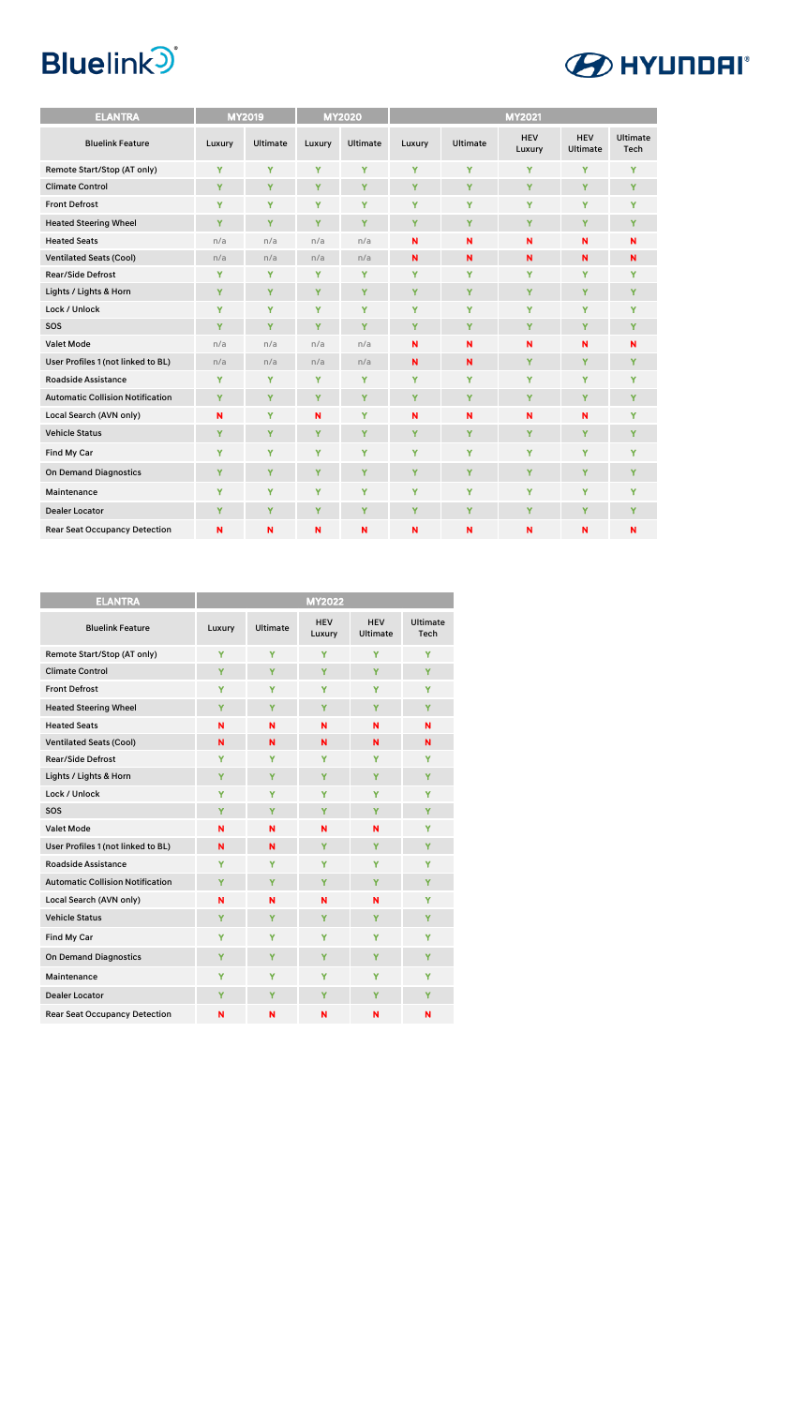| <b>ELANTRA</b>                          |        | <b>MY2019</b>   |        | <b>MY2020</b>   | <b>MY2021</b>           |                 |                      |                               |                  |
|-----------------------------------------|--------|-----------------|--------|-----------------|-------------------------|-----------------|----------------------|-------------------------------|------------------|
| <b>Bluelink Feature</b>                 | Luxury | <b>Ultimate</b> | Luxury | <b>Ultimate</b> | Luxury                  | <b>Ultimate</b> | <b>HEV</b><br>Luxury | <b>HEV</b><br><b>Ultimate</b> | Ultimate<br>Tech |
| Remote Start/Stop (AT only)             | Y      | Y               | Y      | Ÿ               | Y                       | Y               | Y                    | Y                             | Y                |
| <b>Climate Control</b>                  | Y      | Y               | Y      | Y               | Y                       | Y               | Y                    | Y                             | Y                |
| <b>Front Defrost</b>                    | Y      | Y               | Y      | Y               | Y                       | Y               | Y                    | Y                             | Y                |
| <b>Heated Steering Wheel</b>            | Ÿ      | Y               | Y      | Ÿ               | Y                       | Y               | Y                    | Y                             | Y                |
| <b>Heated Seats</b>                     | n/a    | n/a             | n/a    | n/a             | N                       | N               | N                    | N                             | N                |
| <b>Ventilated Seats (Cool)</b>          | n/a    | n/a             | n/a    | n/a             | $\mathbf N$             | N               | N                    | $\mathbf N$                   | N                |
| <b>Rear/Side Defrost</b>                | Y      | Y               | Y      | Y               | Y                       | Y               | Y                    | Y                             | Y                |
| Lights / Lights & Horn                  | Y      | Y               | Y      | Y               | Y                       | Y               | Y                    | Y                             | Y                |
| Lock / Unlock                           | Y      | Y               | Y      | Y               | Y                       | Y               | Y                    | Y                             | Y                |
| SOS                                     | Y      | Y               | Y      | Y               | Y                       | Y               | Y                    | Y                             | Y                |
| <b>Valet Mode</b>                       | n/a    | n/a             | n/a    | n/a             | $\mathbf N$             | N               | N                    | N                             | N                |
| User Profiles 1 (not linked to BL)      | n/a    | n/a             | n/a    | n/a             | $\overline{\mathsf{N}}$ | N               | Y                    | Y                             | Y                |
| <b>Roadside Assistance</b>              | Y      | Y               | Y      | Y               | Y                       | Y               | Y                    | Y                             | Y                |
| <b>Automatic Collision Notification</b> | Y      | Y               | Y      | Y               | Y                       | Y               | Y                    | Y                             | Y                |
| Local Search (AVN only)                 | N      | Y               | N      | Y               | N                       | N               | N                    | N                             | Y                |
| <b>Vehicle Status</b>                   | Y      | Y               | Y      | Y               | Y                       | Y               | Y                    | Y                             | Y                |
| Find My Car                             | Y      | Y               | Y      | Y               | Y                       | Y               | Y                    | Y                             | Y                |
| <b>On Demand Diagnostics</b>            | Y      | Y               | Y      | Ÿ               | Y                       | Y               | Y                    | Y                             | Y                |
| Maintenance                             | Y      | Y               | Y      | Y               | Y                       | Y               | Y                    | Y                             | Y                |
| <b>Dealer Locator</b>                   | Y      | Y               | Y      | Y               | Y                       | Y               | Y                    | Y                             | Y                |
| <b>Rear Seat Occupancy Detection</b>    | N      | N               | N      | N               | N                       | N               | N                    | N                             | N                |

| ELANTRA                                 | <b>MY2022</b> |                 |                      |                               |                  |  |  |
|-----------------------------------------|---------------|-----------------|----------------------|-------------------------------|------------------|--|--|
| <b>Bluelink Feature</b>                 | Luxury        | <b>Ultimate</b> | <b>HEV</b><br>Luxury | <b>HEV</b><br><b>Ultimate</b> | Ultimate<br>Tech |  |  |
| Remote Start/Stop (AT only)             | Y             | Y               | Ÿ                    | Y                             | Y                |  |  |
| <b>Climate Control</b>                  | Ÿ             | Ÿ               | Ÿ                    | Y                             | Y                |  |  |
| <b>Front Defrost</b>                    | Y             | Y               | Y                    | Y                             | Y                |  |  |
| <b>Heated Steering Wheel</b>            | Y             | Y               | Y                    | Y                             | Y                |  |  |
| <b>Heated Seats</b>                     | N             | N               | N                    | N                             | N                |  |  |
| <b>Ventilated Seats (Cool)</b>          | N             | N               | N                    | N                             | N                |  |  |
| <b>Rear/Side Defrost</b>                | Y             | Y               | Y                    | Y                             | Y                |  |  |
| Lights / Lights & Horn                  | Y             | Y               | Y                    | Y                             | Y                |  |  |
| Lock / Unlock                           | Y             | Y               | Ÿ                    | Y                             | Ÿ                |  |  |
| SOS                                     | Y             | Y               | Y                    | Y                             | Y                |  |  |
| <b>Valet Mode</b>                       | N             | N               | N                    | N                             | Y                |  |  |
| User Profiles 1 (not linked to BL)      | N             | N               | Y                    | Y                             | Y                |  |  |
| <b>Roadside Assistance</b>              | Y             | Y               | Y                    | Y                             | Y                |  |  |
| <b>Automatic Collision Notification</b> | Y             | Y               | Y                    | Y                             | Y                |  |  |
| Local Search (AVN only)                 | N             | N               | N                    | N                             | Y                |  |  |
| <b>Vehicle Status</b>                   | Y             | Y               | Y                    | Y                             | Y                |  |  |
| Find My Car                             | Y             | Y               | Y                    | Y                             | Y                |  |  |
| <b>On Demand Diagnostics</b>            | Y             | Y               | Y                    | Y                             | Y                |  |  |
| Maintenance                             | Y             | Y               | Y                    | Y                             | Y                |  |  |
| <b>Dealer Locator</b>                   | Y             | Ÿ               | Y                    | Y                             | Y                |  |  |
| <b>Rear Seat Occupancy Detection</b>    | N             | N               | N                    | N                             | N                |  |  |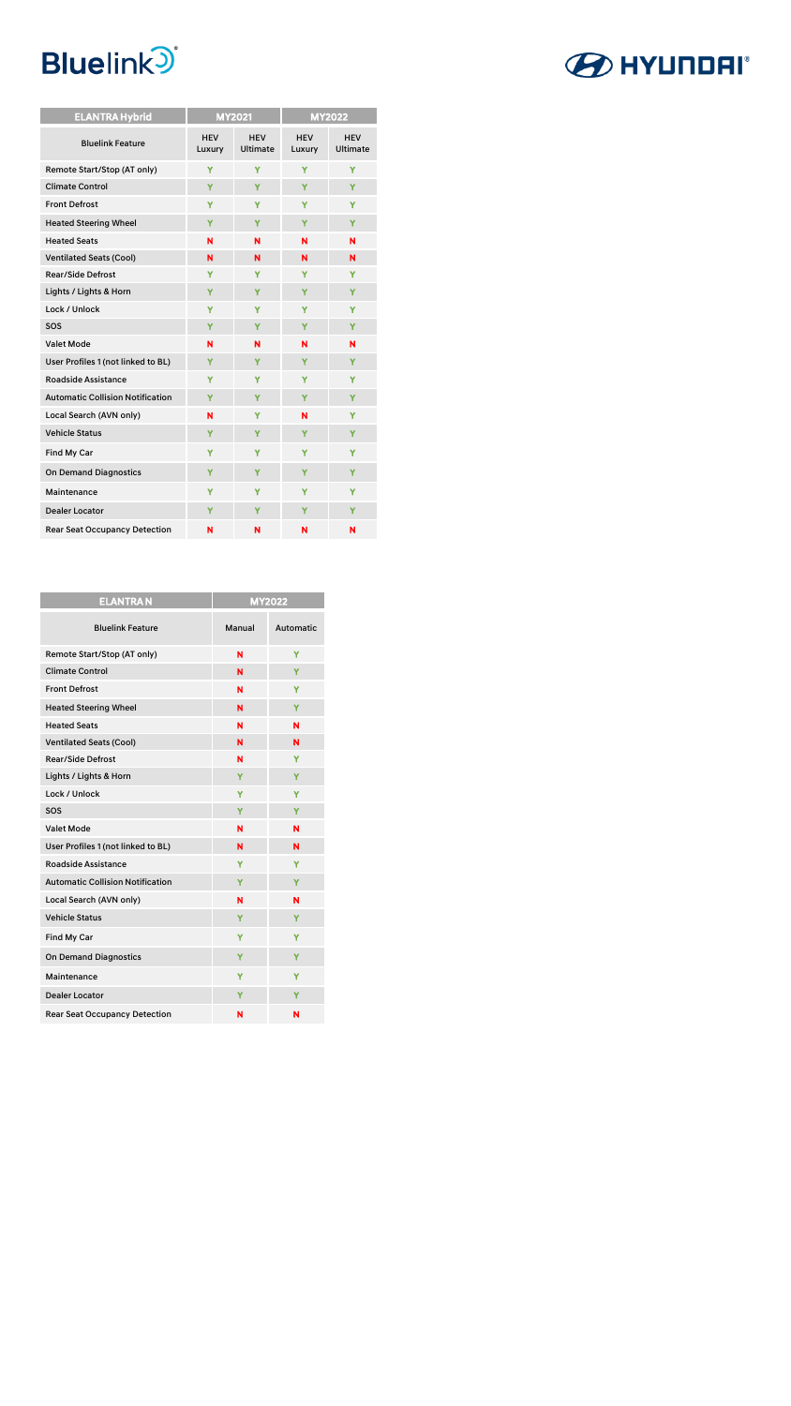| <b>ELANTRA Hybrid</b>                   | <b>MY2021</b>        |                        |                      | <b>MY2022</b>                 |  |
|-----------------------------------------|----------------------|------------------------|----------------------|-------------------------------|--|
| <b>Bluelink Feature</b>                 | <b>HEV</b><br>Luxury | <b>HEV</b><br>Ultimate | <b>HEV</b><br>Luxury | <b>HEV</b><br><b>Ultimate</b> |  |
| Remote Start/Stop (AT only)             | Ÿ                    | Y                      | Ÿ                    | Ÿ                             |  |
| <b>Climate Control</b>                  | Ÿ                    | Ÿ                      | Y                    | Y                             |  |
| <b>Front Defrost</b>                    | Y                    | Y                      | Y                    | Y                             |  |
| <b>Heated Steering Wheel</b>            | Y                    | Y                      | Y                    | Y                             |  |
| <b>Heated Seats</b>                     | N                    | N                      | N                    | N                             |  |
| <b>Ventilated Seats (Cool)</b>          | N                    | N                      | N                    | N                             |  |
| <b>Rear/Side Defrost</b>                | Y                    | Y                      | Y                    | Y                             |  |
| Lights / Lights & Horn                  | Ÿ                    | Y                      | Y                    | Y                             |  |
| Lock / Unlock                           | Y                    | Y                      | Y                    | Y                             |  |
| SOS                                     | Y                    | Y                      | Y                    | Y                             |  |
| <b>Valet Mode</b>                       | N                    | N                      | N                    | N                             |  |
| User Profiles 1 (not linked to BL)      | Y                    | Y                      | Y                    | Y                             |  |
| <b>Roadside Assistance</b>              | Ÿ                    | Y                      | Ÿ                    | Ÿ                             |  |
| <b>Automatic Collision Notification</b> | Y                    | Y                      | Y                    | Y                             |  |
| Local Search (AVN only)                 | N                    | Y                      | N                    | Y                             |  |
| <b>Vehicle Status</b>                   | Y                    | Y                      | Y                    | Y                             |  |
| Find My Car                             | Y                    | Y                      | Ÿ                    | Y                             |  |
| <b>On Demand Diagnostics</b>            | Y                    | Y                      | Y                    | Y                             |  |
| <b>Maintenance</b>                      | Y                    | Y                      | Y                    | Ÿ                             |  |
| <b>Dealer Locator</b>                   | Y                    | Y                      | Υ                    | Y                             |  |
| <b>Rear Seat Occupancy Detection</b>    | N                    | N                      | N                    | N                             |  |

| <b>ELANTRAN</b>                         | <b>MY2022</b> |                  |  |  |
|-----------------------------------------|---------------|------------------|--|--|
| <b>Bluelink Feature</b>                 | Manual        | <b>Automatic</b> |  |  |
| Remote Start/Stop (AT only)             | N             | Ÿ                |  |  |
| <b>Climate Control</b>                  | N             | Y                |  |  |
| <b>Front Defrost</b>                    | N             | Y                |  |  |
| <b>Heated Steering Wheel</b>            | N             | Y                |  |  |
| <b>Heated Seats</b>                     | N             | N                |  |  |
| <b>Ventilated Seats (Cool)</b>          | N             | N                |  |  |
| <b>Rear/Side Defrost</b>                | N             | Y                |  |  |
| Lights / Lights & Horn                  | Y             | Y                |  |  |
| Lock / Unlock                           | Y             | Y                |  |  |
| SOS                                     | Y             | Y                |  |  |
| <b>Valet Mode</b>                       | N             | N                |  |  |
| User Profiles 1 (not linked to BL)      | N             | N                |  |  |
| <b>Roadside Assistance</b>              | Y             | Y                |  |  |
| <b>Automatic Collision Notification</b> | Y             | Y                |  |  |
| Local Search (AVN only)                 | N             | N                |  |  |
| <b>Vehicle Status</b>                   | Y             | Y                |  |  |
| Find My Car                             | Y             | Y                |  |  |
| <b>On Demand Diagnostics</b>            | Y             | Y                |  |  |
| Maintenance                             | Y             | Y                |  |  |
| <b>Dealer Locator</b>                   | Y             | Y                |  |  |
| <b>Rear Seat Occupancy Detection</b>    | N             | N                |  |  |

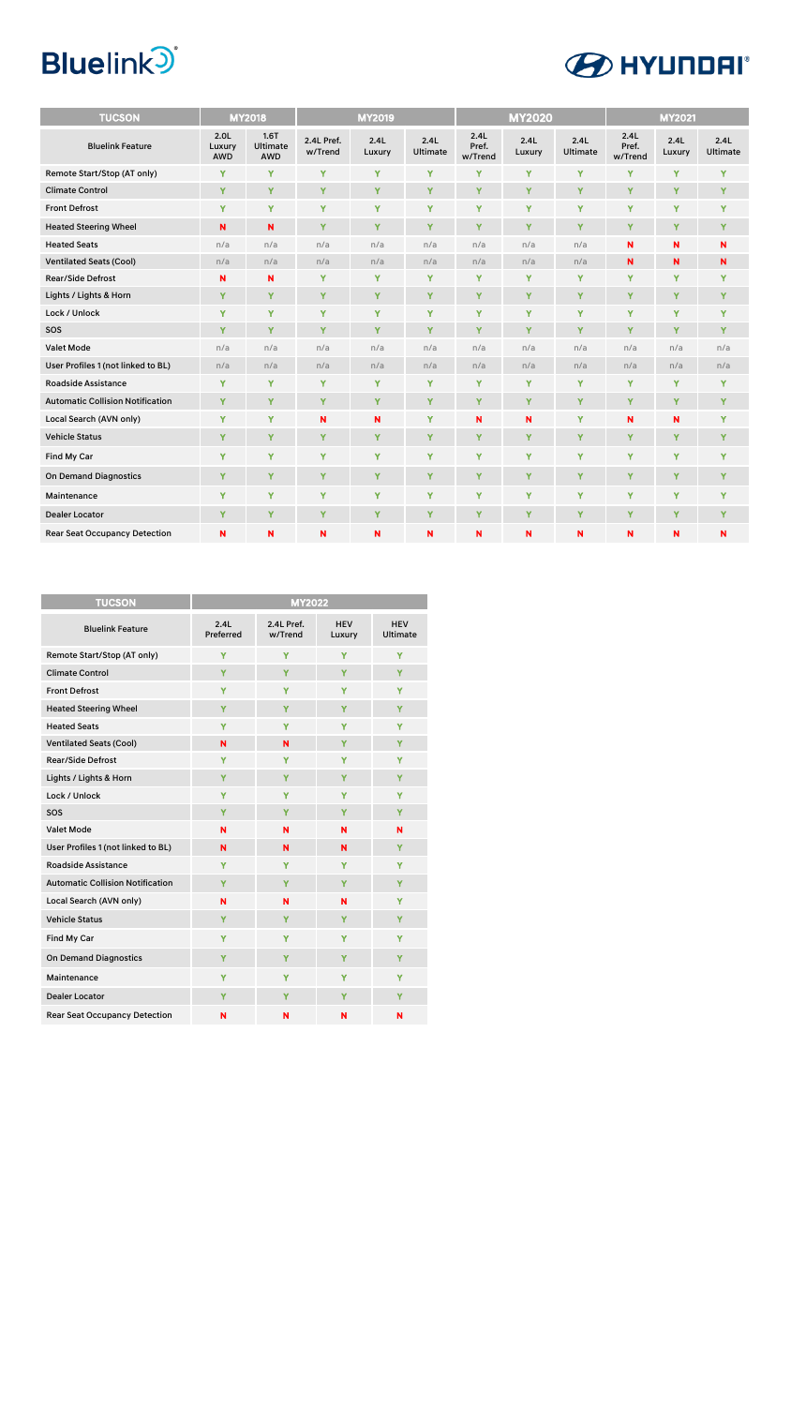

| <b>TUCSON</b>                           |                                   | <b>MY2018</b>                         |                       | <b>MY2019</b>  |                         | <b>MY2020</b>            |                |                  | <b>MY2021</b>            |                |                  |
|-----------------------------------------|-----------------------------------|---------------------------------------|-----------------------|----------------|-------------------------|--------------------------|----------------|------------------|--------------------------|----------------|------------------|
| <b>Bluelink Feature</b>                 | 2.0 <sub>L</sub><br>Luxury<br>AWD | 1.6T<br><b>Ultimate</b><br><b>AWD</b> | 2.4L Pref.<br>w/Trend | 2.4L<br>Luxury | 2.4L<br><b>Ultimate</b> | 2.4L<br>Pref.<br>w/Trend | 2.4L<br>Luxury | 2.4L<br>Ultimate | 2.4L<br>Pref.<br>w/Trend | 2.4L<br>Luxury | 2.4L<br>Ultimate |
| Remote Start/Stop (AT only)             | Y                                 | Y                                     | Y                     | Y              | Y                       | Y                        | Y              | Y                | Y                        | Y              | Y                |
| <b>Climate Control</b>                  | Y                                 | Y                                     | Y                     | Y              | Y                       | Y                        | Y              | Y                | Υ                        | Y              | Y                |
| <b>Front Defrost</b>                    | Y                                 | Y                                     | Y                     | Y              | Y                       | Y                        | Y              | Y                | Y                        | Y              | Y                |
| <b>Heated Steering Wheel</b>            | N                                 | N                                     | Y                     | Y              | Y                       | Y                        | Y              | Y                | Ÿ                        | Y              | Y                |
| <b>Heated Seats</b>                     | n/a                               | n/a                                   | n/a                   | n/a            | n/a                     | n/a                      | n/a            | n/a              | N                        | N              | N                |
| <b>Ventilated Seats (Cool)</b>          | n/a                               | n/a                                   | n/a                   | n/a            | n/a                     | n/a                      | n/a            | n/a              | N                        | N              | $\mathbf N$      |
| <b>Rear/Side Defrost</b>                | N                                 | N                                     | Y                     | Y              | Y                       | Y                        | Y              | Y                | Υ                        | Y              | Υ                |
| Lights / Lights & Horn                  | Y                                 | Y                                     | Y                     | Y              | Y                       | Y                        | Y              | Y                | Y                        | Ÿ              | Y                |
| Lock / Unlock                           | Y                                 | Y                                     | Y                     | Y              | Y                       | Y                        | Y              | Y                | Y                        | Ÿ              | Y                |
| SOS                                     | Y                                 | Y                                     | Y                     | Y              | Ÿ                       | Y                        | Y              | Y                | Y                        | Ÿ              | Y                |
| <b>Valet Mode</b>                       | n/a                               | n/a                                   | n/a                   | n/a            | n/a                     | n/a                      | n/a            | n/a              | n/a                      | n/a            | n/a              |
| User Profiles 1 (not linked to BL)      | n/a                               | n/a                                   | n/a                   | n/a            | n/a                     | n/a                      | n/a            | n/a              | n/a                      | n/a            | n/a              |
| <b>Roadside Assistance</b>              | Y                                 | Y                                     | Y                     | Y              | Y                       | Y                        | Y              | Y                | Y                        | Y              | Y                |
| <b>Automatic Collision Notification</b> | Y                                 | Y                                     | Y                     | Y              | Y                       | Y                        | Y              | Y                | Y                        | Y              | Y                |
| Local Search (AVN only)                 | Y                                 | Y                                     | N                     | N              | Ÿ                       | N                        | N              | Y                | N                        | N              | Y                |
| <b>Vehicle Status</b>                   | Y                                 | Y                                     | Y                     | Y              | Y                       | Y                        | Y              | Y                | Y                        | Y              | Y                |
| Find My Car                             | Y                                 | Y                                     | Y                     | Y              | Y                       | Y                        | Y              | Y                | Y                        | Y              | Y                |
| <b>On Demand Diagnostics</b>            | Y                                 | Y                                     | Y                     | Y              | Y                       | Y                        | Y              | Y                | Y                        | Ÿ              | Y                |
| Maintenance                             | Y                                 | Y                                     | Y                     | Y              | Ÿ                       | Y                        | Ÿ              | Y                | Y                        | Ÿ              | Y                |
| <b>Dealer Locator</b>                   | Y                                 | Y                                     | Y                     | Y              | Y                       | Y                        | Y              | Y                | Y                        | Y              | Y                |
| <b>Rear Seat Occupancy Detection</b>    | N                                 | N                                     | N                     | N              | N                       | N                        | N              | N                | N                        | N              | N                |

| <b>TUCSON</b>                           |                   | <b>MY2022</b>         |                      |                               |
|-----------------------------------------|-------------------|-----------------------|----------------------|-------------------------------|
| <b>Bluelink Feature</b>                 | 2.4L<br>Preferred | 2.4L Pref.<br>w/Trend | <b>HEV</b><br>Luxury | <b>HEV</b><br><b>Ultimate</b> |
| Remote Start/Stop (AT only)             | Y                 | Y                     | Ÿ                    | Y                             |
| <b>Climate Control</b>                  | Y                 | Ÿ                     | Y                    | Y                             |
| <b>Front Defrost</b>                    | Y                 | Y                     | Y                    | Y                             |
| <b>Heated Steering Wheel</b>            | Y                 | Y                     | Y                    | Y                             |
| <b>Heated Seats</b>                     | Y                 | Y                     | Y                    | Y                             |
| <b>Ventilated Seats (Cool)</b>          | N                 | N                     | Y                    | Y                             |
| <b>Rear/Side Defrost</b>                | Y                 | Y                     | Y                    | Y                             |
| Lights / Lights & Horn                  | Y                 | Y                     | Y                    | Y                             |
| Lock / Unlock                           | Y                 | Ÿ                     | Y                    | Y                             |
| SOS                                     | Y                 | Ÿ                     | Y                    | Y                             |
| <b>Valet Mode</b>                       | N                 | N                     | N                    | N                             |
| User Profiles 1 (not linked to BL)      | N                 | N                     | N                    | Y                             |
| <b>Roadside Assistance</b>              | Y                 | Y                     | Y                    | Y                             |
| <b>Automatic Collision Notification</b> | Y                 | Ÿ                     | Y                    | Y                             |
| Local Search (AVN only)                 | N                 | N                     | N                    | Y                             |
| <b>Vehicle Status</b>                   | Y                 | Y                     | Y                    | Y                             |
| Find My Car                             | Y                 | Y                     | Y                    | Y                             |
| <b>On Demand Diagnostics</b>            | Y                 | Y                     | Y                    | Y                             |
| Maintenance                             | Y                 | Y                     | Y                    | Y                             |
| <b>Dealer Locator</b>                   | Y                 | Y                     | Y                    | Y                             |
| <b>Rear Seat Occupancy Detection</b>    | N                 | N                     | N                    | N                             |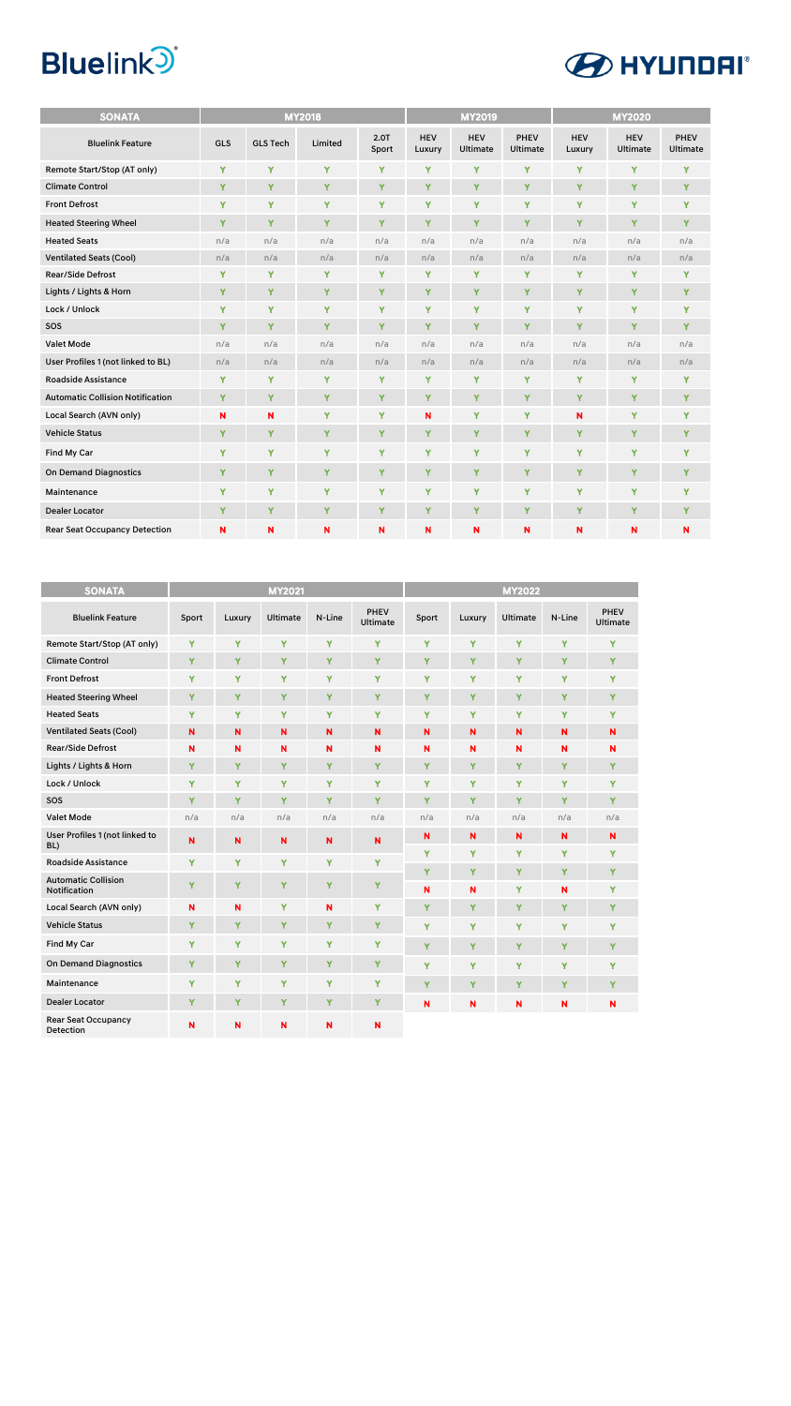| <b>SONATA</b>                           | <b>MY2018</b> |                 |         |               |                      | <b>MY2019</b>                 |                  | <b>MY2020</b>        |                        |                  |
|-----------------------------------------|---------------|-----------------|---------|---------------|----------------------|-------------------------------|------------------|----------------------|------------------------|------------------|
| <b>Bluelink Feature</b>                 | <b>GLS</b>    | <b>GLS Tech</b> | Limited | 2.0T<br>Sport | <b>HEV</b><br>Luxury | <b>HEV</b><br><b>Ultimate</b> | PHEV<br>Ultimate | <b>HEV</b><br>Luxury | <b>HEV</b><br>Ultimate | PHEV<br>Ultimate |
| Remote Start/Stop (AT only)             | Y             | Y               | Y       | Y             | Y                    | Y                             | Y                | Y                    | Ÿ                      | Y                |
| <b>Climate Control</b>                  | Y             | Y               | Y       | Y             | Y                    | Y                             | Y                | Y                    | Y                      | Y                |
| <b>Front Defrost</b>                    | Y             | Y               | Y       | Y             | Y                    | Y                             | Y                | Y                    | Y                      | Y                |
| <b>Heated Steering Wheel</b>            | Y             | Y               | Y       | Y             | Y                    | Y                             | Y                | Y                    | Y                      | Y                |
| <b>Heated Seats</b>                     | n/a           | n/a             | n/a     | n/a           | n/a                  | n/a                           | n/a              | n/a                  | n/a                    | n/a              |
| <b>Ventilated Seats (Cool)</b>          | n/a           | n/a             | n/a     | n/a           | n/a                  | n/a                           | n/a              | n/a                  | n/a                    | n/a              |
| <b>Rear/Side Defrost</b>                | Y             | Y               | Y       | Y             | Y                    | Y                             | Y                | Y                    | Y                      | Y                |
| Lights / Lights & Horn                  | Y             | Y               | Y       | Y             | Y                    | Y                             | Y                | Y                    | Y                      | Y                |
| Lock / Unlock                           | Y             | Y               | Y       | Ÿ             | Y                    | Y                             | Y                | Y                    | Y                      | Y                |
| SOS                                     | Y             | Ÿ               | Y       | Y             | Y                    | Y                             | Y                | Y                    | Y                      | Y                |
| Valet Mode                              | n/a           | n/a             | n/a     | n/a           | n/a                  | n/a                           | n/a              | n/a                  | n/a                    | n/a              |
| User Profiles 1 (not linked to BL)      | n/a           | n/a             | n/a     | n/a           | n/a                  | n/a                           | n/a              | n/a                  | n/a                    | n/a              |
| <b>Roadside Assistance</b>              | Y             | Y               | Y       | Y             | Y                    | Y                             | Y                | Y                    | Y                      | Y                |
| <b>Automatic Collision Notification</b> | Y             | Y               | Y       | Ÿ             | Y                    | Y                             | Y                | Y                    | Ÿ                      | Y                |
| Local Search (AVN only)                 | N             | N               | Y       | Y             | N                    | Y                             | Y                | N                    | Y                      | Y                |
| <b>Vehicle Status</b>                   | Y             | Y               | Y       | Y             | Y                    | Y                             | Y                | Y                    | Y                      | Y                |
| Find My Car                             | Y             | Y               | Y       | Y             | Y                    | Y                             | Y                | Y                    | Y                      | Y                |
| <b>On Demand Diagnostics</b>            | Y             | Y               | Y       | Y             | Y                    | Y                             | Y                | Y                    | Y                      | Y                |
| Maintenance                             | Y             | Y               | Y       | Y             | Y                    | Y                             | Y                | Y                    | Y                      | Y                |
| <b>Dealer Locator</b>                   | Y             | Y               | Y       | Y             | Y                    | Y                             | Y                | Y                    | Y                      | Y                |
| <b>Rear Seat Occupancy Detection</b>    | N             | N               | N       | N             | N                    | N                             | N                | N                    | N                      | N                |

| <b>SONATA</b>                                     | <b>MY2021</b> |             |                 |        | <b>MY2022</b>                  |             |        |                 |        |                  |
|---------------------------------------------------|---------------|-------------|-----------------|--------|--------------------------------|-------------|--------|-----------------|--------|------------------|
| <b>Bluelink Feature</b>                           | Sport         | Luxury      | <b>Ultimate</b> | N-Line | <b>PHEV</b><br><b>Ultimate</b> | Sport       | Luxury | <b>Ultimate</b> | N-Line | PHEV<br>Ultimate |
| Remote Start/Stop (AT only)                       | Y             | Y           | Y               | Ÿ      | Y                              | Ÿ           | Y      | Y               | Y      | Y                |
| <b>Climate Control</b>                            | Y             | Y           | Y               | Ÿ      | Y                              | Y           | Y      | Y               | Y      | Y                |
| <b>Front Defrost</b>                              | Y             | Y           | Y               | Y      | Y                              | Y           | Y      | Y               | Y      | Y                |
| <b>Heated Steering Wheel</b>                      | Y             | Y           | Y               | Ÿ      | Y                              | Ÿ           | Ÿ      | Y               | Y      | Y                |
| <b>Heated Seats</b>                               | Y             | Y           | Ÿ               | Ÿ      | Y                              | Y           | Y      | Y               | Y      | Y                |
| <b>Ventilated Seats (Cool)</b>                    | N             | N           | $\mathbf N$     | N      | N                              | $\mathbf N$ | N      | N               | N      | N                |
| <b>Rear/Side Defrost</b>                          | N             | N           | N               | N      | N                              | N           | N      | N               | N      | N                |
| Lights / Lights & Horn                            | Ÿ             | Y           | Ÿ               | Ÿ      | Y                              | Y           | Y      | Y               | Y      | Y                |
| Lock / Unlock                                     | Y             | Y           | Y               | Ÿ      | Y                              | Y           | Y      | Y               | Y      | Y                |
| SOS                                               | Ÿ             | Y           | Ÿ               | Ÿ      | Ÿ                              | Y           | Ÿ      | Y               | Y      | Y                |
| <b>Valet Mode</b>                                 | n/a           | n/a         | n/a             | n/a    | n/a                            | n/a         | n/a    | n/a             | n/a    | n/a              |
| User Profiles 1 (not linked to<br>BL)             | $\mathbf N$   | $\mathbf N$ | $\mathbf N$     | N      | N                              | N<br>Y      | N<br>Y | N<br>Y          | N<br>Y | $\mathbf N$<br>Y |
| <b>Roadside Assistance</b>                        | Y             | Y           | Y               | Y      | Y                              |             |        |                 |        |                  |
| <b>Automatic Collision</b><br><b>Notification</b> | Ÿ             | Y           | Ÿ               | Ÿ      | Y                              | Y<br>N      | Y<br>N | Y<br>Y          | Y<br>N | Y<br>Y           |
| Local Search (AVN only)                           | N             | N           | Y               | N      | Y                              | Y           | Y      | Y               | Y      | Y                |
| <b>Vehicle Status</b>                             | Y             | Y           | Y               | Y      | Y                              | Y           | Y      | Y               | Y      | Y                |
| Find My Car                                       | Ÿ             | Y           | Ÿ               | Y      | Ÿ                              | Y           | Y      | Y               | Y      | Y                |
| <b>On Demand Diagnostics</b>                      | Y             | Y           | Y               | Y      | Y                              | Y           | Ÿ      | Y               | Y      | Y                |
| Maintenance                                       | Y             | Y           | Y               | Y      | Y                              | Y           | Y      | Y               | Y      | Y                |
| <b>Dealer Locator</b>                             | Y             | Y           | Ÿ               | Y      | Y                              | N           | N      | N               | N      | N                |
| <b>Rear Seat Occupancy</b><br><b>Detection</b>    | N             | N           | N               | N      | N                              |             |        |                 |        |                  |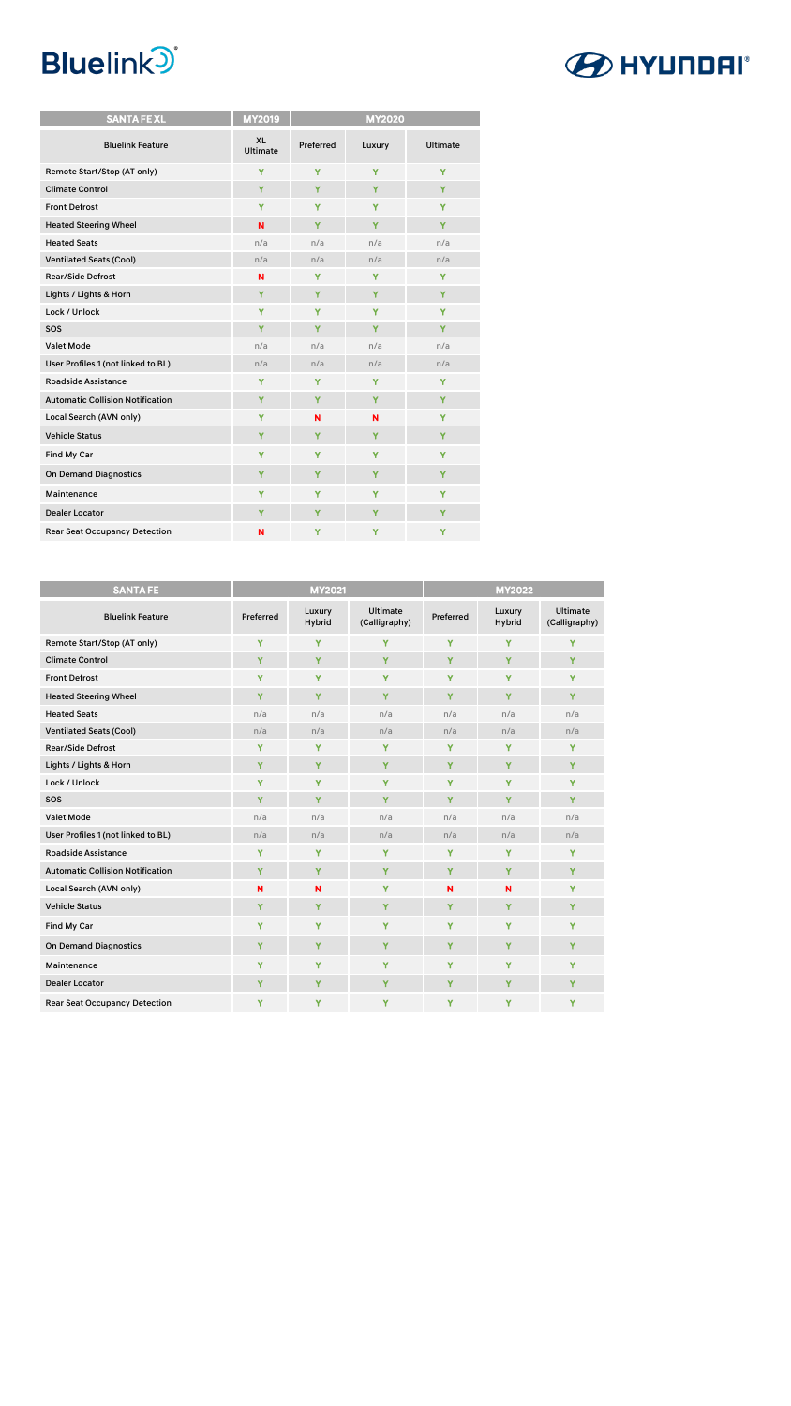

| <b>SANTA FEXL</b>                       | <b>MY2019</b>                | <b>MY2020</b> |        |                 |  |  |
|-----------------------------------------|------------------------------|---------------|--------|-----------------|--|--|
| <b>Bluelink Feature</b>                 | <b>XL</b><br><b>Ultimate</b> | Preferred     | Luxury | <b>Ultimate</b> |  |  |
| Remote Start/Stop (AT only)             | Y                            | Y             | Y      | Ÿ               |  |  |
| <b>Climate Control</b>                  | Y                            | Y             | Y      | Y               |  |  |
| <b>Front Defrost</b>                    | Y                            | Y             | Y      | Y               |  |  |
| <b>Heated Steering Wheel</b>            | N                            | Y             | Y      | Y               |  |  |
| <b>Heated Seats</b>                     | n/a                          | n/a           | n/a    | n/a             |  |  |
| <b>Ventilated Seats (Cool)</b>          | n/a                          | n/a           | n/a    | n/a             |  |  |
| <b>Rear/Side Defrost</b>                | N                            | Y             | Y      | Y               |  |  |
| Lights / Lights & Horn                  | Y                            | Y             | Y      | Y               |  |  |
| Lock / Unlock                           | Y                            | Ÿ             | Y      | Y               |  |  |
| SOS                                     | Y                            | Y             | Y      | Y               |  |  |
| <b>Valet Mode</b>                       | n/a                          | n/a           | n/a    | n/a             |  |  |
| User Profiles 1 (not linked to BL)      | n/a                          | n/a           | n/a    | n/a             |  |  |
| <b>Roadside Assistance</b>              | Y                            | Y             | Y      | Y               |  |  |
| <b>Automatic Collision Notification</b> | Y                            | Y             | Y      | Y               |  |  |
| Local Search (AVN only)                 | Y                            | N             | N      | Y               |  |  |
| <b>Vehicle Status</b>                   | Y                            | Y             | Y      | Y               |  |  |
| Find My Car                             | Y                            | Ÿ             | Ÿ      | Y               |  |  |
| <b>On Demand Diagnostics</b>            | Y                            | Y             | Y      | Y               |  |  |
| Maintenance                             | Y                            | Y             | Y      | Y               |  |  |
| <b>Dealer Locator</b>                   | Y                            | Y             | Y      | Y               |  |  |
| <b>Rear Seat Occupancy Detection</b>    | N                            | Y             | Y      | Y               |  |  |

| <b>SANTA FE</b>                         | <b>MY2021</b> |                         |                                  | <b>MY2022</b> |                  |                                  |  |
|-----------------------------------------|---------------|-------------------------|----------------------------------|---------------|------------------|----------------------------------|--|
| <b>Bluelink Feature</b>                 | Preferred     | Luxury<br><b>Hybrid</b> | <b>Ultimate</b><br>(Calligraphy) | Preferred     | Luxury<br>Hybrid | <b>Ultimate</b><br>(Calligraphy) |  |
| Remote Start/Stop (AT only)             | Y             | Y                       | Y                                | Y             | Ÿ                | Y                                |  |
| <b>Climate Control</b>                  | Y             | Y                       | Y                                | Y             | Y                | Y                                |  |
| <b>Front Defrost</b>                    | Y             | Y                       | Y                                | Y             | Y                | Y                                |  |
| <b>Heated Steering Wheel</b>            | Ÿ             | Y                       | Y                                | Y             | Y                | Y                                |  |
| <b>Heated Seats</b>                     | n/a           | n/a                     | n/a                              | n/a           | n/a              | n/a                              |  |
| <b>Ventilated Seats (Cool)</b>          | n/a           | n/a                     | n/a                              | n/a           | n/a              | n/a                              |  |
| <b>Rear/Side Defrost</b>                | Y             | Y                       | Y                                | Y             | Y                | Υ                                |  |
| Lights / Lights & Horn                  | Y             | Y                       | Y                                | Y             | Y                | Y                                |  |
| Lock / Unlock                           | Y             | Y                       | Y                                | Y             | Y                | Y                                |  |
| SOS                                     | Ÿ             | Y                       | Ÿ                                | Y             | Y                | Ÿ                                |  |
| <b>Valet Mode</b>                       | n/a           | n/a                     | n/a                              | n/a           | n/a              | n/a                              |  |
| User Profiles 1 (not linked to BL)      | n/a           | n/a                     | n/a                              | n/a           | n/a              | n/a                              |  |
| <b>Roadside Assistance</b>              | Y             | Y                       | Y                                | Y             | Y                | Y                                |  |
| <b>Automatic Collision Notification</b> | Y             | Y                       | Y                                | Y             | Y                | Y                                |  |
| Local Search (AVN only)                 | N             | N                       | Y                                | N             | N                | Y                                |  |
| <b>Vehicle Status</b>                   | Y             | Y                       | Y                                | Y             | Y                | Y                                |  |
| Find My Car                             | Y             | Y                       | Y                                | Y             | Y                | Y                                |  |
| <b>On Demand Diagnostics</b>            | Y             | Y                       | Y                                | Y             | Y                | Y                                |  |
| Maintenance                             | Y             | Y                       | Y                                | Y             | Y                | Y                                |  |
| <b>Dealer Locator</b>                   | Y             | Y                       | Y                                | Y             | Y                | Υ                                |  |
| <b>Rear Seat Occupancy Detection</b>    | Y             | Y                       | Y                                | Y             | Y                | Y                                |  |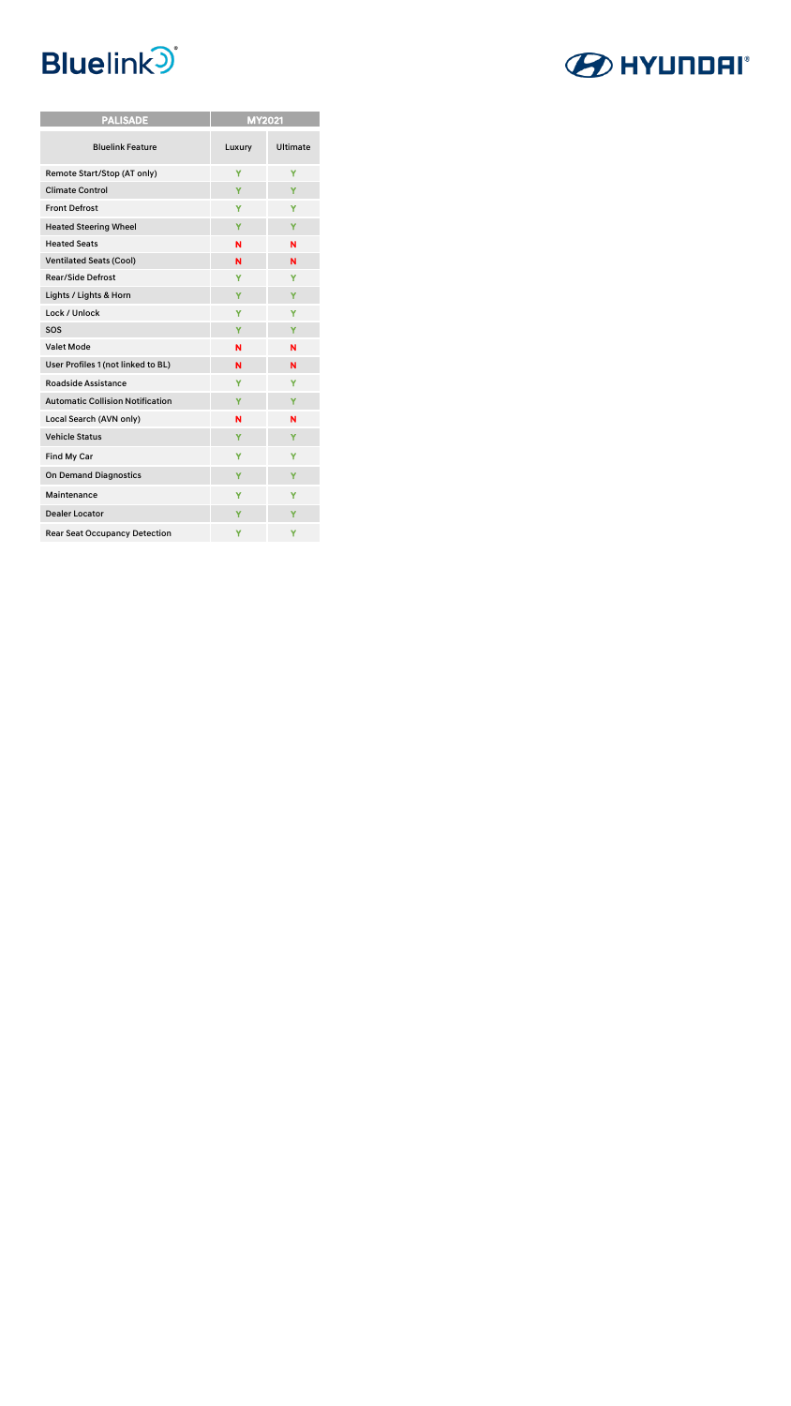

| <b>PALISADE</b>                         | <b>MY2021</b> |          |  |  |  |
|-----------------------------------------|---------------|----------|--|--|--|
| <b>Bluelink Feature</b>                 | Luxury        | Ultimate |  |  |  |
| Remote Start/Stop (AT only)             | Ÿ             | Ÿ        |  |  |  |
| <b>Climate Control</b>                  | Ÿ             | Ÿ        |  |  |  |
| <b>Front Defrost</b>                    | Y             | Y        |  |  |  |
| <b>Heated Steering Wheel</b>            | Y             | Y        |  |  |  |
| <b>Heated Seats</b>                     | N             | N        |  |  |  |
| <b>Ventilated Seats (Cool)</b>          | N             | N        |  |  |  |
| <b>Rear/Side Defrost</b>                | Y             | Y        |  |  |  |
| Lights / Lights & Horn                  | Y             | Y        |  |  |  |
| Lock / Unlock                           | Y             | Y        |  |  |  |
| SOS                                     | Y             | Y        |  |  |  |
| Valet Mode                              | N             | N        |  |  |  |
| User Profiles 1 (not linked to BL)      | N             | N        |  |  |  |
| <b>Roadside Assistance</b>              | Ÿ             | Y        |  |  |  |
| <b>Automatic Collision Notification</b> | Y             | Y        |  |  |  |
| Local Search (AVN only)                 | N             | N        |  |  |  |
| <b>Vehicle Status</b>                   | Y             | Y        |  |  |  |
| Find My Car                             | Y             | Y        |  |  |  |
| <b>On Demand Diagnostics</b>            | Y             | Y        |  |  |  |
| Maintenance                             | Y             | Y        |  |  |  |
| <b>Dealer Locator</b>                   | Y             | Y        |  |  |  |
| <b>Rear Seat Occupancy Detection</b>    | Y             | Υ        |  |  |  |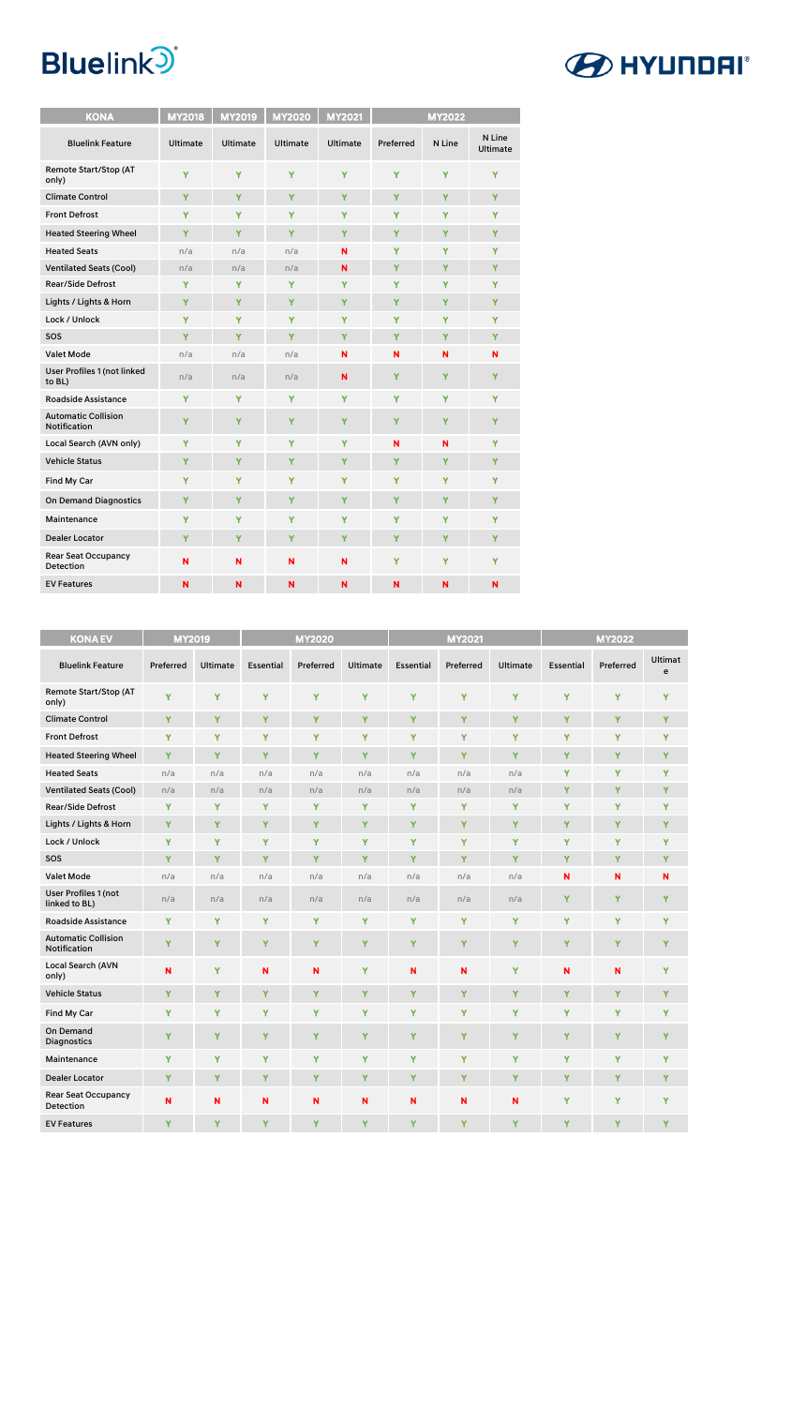| <b>KONA</b>                                       | <b>MY2018</b>   | <b>MY2019</b>   | <b>MY2020</b>   | <b>MY2021</b>   | <b>MY2022</b> |        |                           |
|---------------------------------------------------|-----------------|-----------------|-----------------|-----------------|---------------|--------|---------------------------|
| <b>Bluelink Feature</b>                           | <b>Ultimate</b> | <b>Ultimate</b> | <b>Ultimate</b> | <b>Ultimate</b> | Preferred     | N Line | N Line<br><b>Ultimate</b> |
| Remote Start/Stop (AT<br>only)                    | Y               | Y               | Y               | Y               | Y             | Y      | Y                         |
| <b>Climate Control</b>                            | Y               | Y               | Y               | Y               | Y             | Y      | Y                         |
| <b>Front Defrost</b>                              | Υ               | Y               | Y               | Y               | Y             | Y      | Y                         |
| <b>Heated Steering Wheel</b>                      | Y               | Y               | Y               | Y               | Y             | Y      | Y                         |
| <b>Heated Seats</b>                               | n/a             | n/a             | n/a             | N               | Y             | Y      | Y                         |
| <b>Ventilated Seats (Cool)</b>                    | n/a             | n/a             | n/a             | N               | Y             | Ÿ      | Y                         |
| <b>Rear/Side Defrost</b>                          | Y               | Y               | Y               | Y               | Y             | Y      | Y                         |
| Lights / Lights & Horn                            | Y               | Y               | Y               | Y               | Y             | Y      | Y                         |
| Lock / Unlock                                     | Y               | Y               | Y               | Y               | Y             | Y      | Y                         |
| SOS                                               | Y               | Y               | Y               | Y               | Y             | Y      | Y                         |
| <b>Valet Mode</b>                                 | n/a             | n/a             | n/a             | N               | N             | N      | N                         |
| <b>User Profiles 1 (not linked</b><br>to BL)      | n/a             | n/a             | n/a             | N               | Y             | Y      | Y                         |
| <b>Roadside Assistance</b>                        | Y               | Y               | Y               | Y               | Y             | Ÿ      | Y                         |
| <b>Automatic Collision</b><br><b>Notification</b> | Y               | Y               | Y               | Y               | Y             | Y      | Y                         |
| Local Search (AVN only)                           | Y               | Y               | Y               | Y               | N             | N      | Y                         |
| <b>Vehicle Status</b>                             | Y               | Y               | Y               | Y               | Y             | Y      | Y                         |
| Find My Car                                       | Y               | Y               | Y               | Y               | Y             | Y      | Y                         |
| <b>On Demand Diagnostics</b>                      | Y               | Y               | Y               | Y               | Y             | Y      | Y                         |
| Maintenance                                       | Y               | Y               | Y               | Y               | Y             | Y      | Y                         |
| <b>Dealer Locator</b>                             | Y               | Y               | Y               | Y               | Y             | Y      | Y                         |
| <b>Rear Seat Occupancy</b><br>Detection           | N               | N               | N               | N               | Y             | Y      | Y                         |
| <b>EV Features</b>                                | N               | N               | N               | N               | N             | N      | N                         |

| <b>KONA EV</b>                                    | <b>MY2019</b> |                 | <b>MY2020</b>    |           |                 | <b>MY2021</b>    |           | <b>MY2022</b>   |                  |           |                     |
|---------------------------------------------------|---------------|-----------------|------------------|-----------|-----------------|------------------|-----------|-----------------|------------------|-----------|---------------------|
| <b>Bluelink Feature</b>                           | Preferred     | <b>Ultimate</b> | <b>Essential</b> | Preferred | <b>Ultimate</b> | <b>Essential</b> | Preferred | <b>Ultimate</b> | <b>Essential</b> | Preferred | <b>Ultimat</b><br>e |
| Remote Start/Stop (AT<br>only)                    | Y             | Y               | Y                | Y         | Y               | Y                | Y         | Y               | Y                | Y         | Y                   |
| <b>Climate Control</b>                            | Y             | Y               | Y                | Y         | Y               | Y                | Y         | Y               | Y                | Y         | Y                   |
| <b>Front Defrost</b>                              | Ÿ             | Y               | Y                | Y         | Y               | Y                | Y         | Y               | Y                | Y         | Y                   |
| <b>Heated Steering Wheel</b>                      | Y             | Y               | Ÿ                | Y         | Ÿ               | Ÿ                | Y         | Y               | Ÿ                | Y         | Y                   |
| <b>Heated Seats</b>                               | n/a           | n/a             | n/a              | n/a       | n/a             | n/a              | n/a       | n/a             | Y                | Y         | Y                   |
| <b>Ventilated Seats (Cool)</b>                    | n/a           | n/a             | n/a              | n/a       | n/a             | n/a              | n/a       | n/a             | Y                | Y         | Y                   |
| <b>Rear/Side Defrost</b>                          | Y             | Y               | Y                | Y         | Y               | Y                | Y         | Y               | Y                | Y         | Y                   |
| Lights / Lights & Horn                            | Ÿ             | Y               | Y                | Y         | Y               | Ÿ                | Y         | Y               | Ÿ                | Y         | Y                   |
| Lock / Unlock                                     | Y             | Y               | Ÿ                | Y         | Y               | Ÿ                | Y         | Y               | Ÿ                | Y         | Y                   |
| SOS                                               | Y             | Y               | Y                | Y         | Y               | Ÿ                | Y         | Y               | Y                | Y         | Y                   |
| <b>Valet Mode</b>                                 | n/a           | n/a             | n/a              | n/a       | n/a             | n/a              | n/a       | n/a             | N                | N         | N                   |
| <b>User Profiles 1 (not</b><br>linked to BL)      | n/a           | n/a             | n/a              | n/a       | n/a             | n/a              | n/a       | n/a             | Y                | Y         | Y                   |
| <b>Roadside Assistance</b>                        | Y             | Y               | Y                | Y         | Y               | Ÿ                | Y         | Y               | Ÿ                | Ÿ         | Y                   |
| <b>Automatic Collision</b><br><b>Notification</b> | Ÿ             | Y               | Y                | Y         | Y               | Ÿ                | Y         | Y               | Y                | Y         | Y                   |
| <b>Local Search (AVN</b><br>only)                 | N             | Y               | N                | N         | Y               | N                | N         | Ÿ               | N                | N         | Y                   |
| <b>Vehicle Status</b>                             | Ÿ             | Y               | Y                | Y         | Y               | Ÿ                | Y         | Y               | Ÿ                | Ÿ         | Y                   |
| Find My Car                                       | Y             | Y               | Y                | Y         | Y               | Y                | Y         | Y               | Y                | Y         | Y                   |
| <b>On Demand</b><br><b>Diagnostics</b>            | Y             | Y               | Y                | Y         | Y               | Y                | Y         | Y               | Y                | Y         | Y                   |
| Maintenance                                       | Y             | Y               | Y                | Y         | Y               | Y                | Y         | Y               | Y                | Y         | Y                   |
| <b>Dealer Locator</b>                             | Y             | Y               | Y                | Y         | Y               | Y                | Y         | Y               | Y                | Y         | Y                   |
| Rear Seat Occupancy<br>Detection                  | $\mathbf N$   | N               | N                | N         | N               | N                | N         | N               | Y                | Y         | Y                   |
| <b>EV Features</b>                                | Ÿ             | Y               | Ÿ                | Y         | Y               | Y                | Ÿ         | Y               | Y                | Y         | Y                   |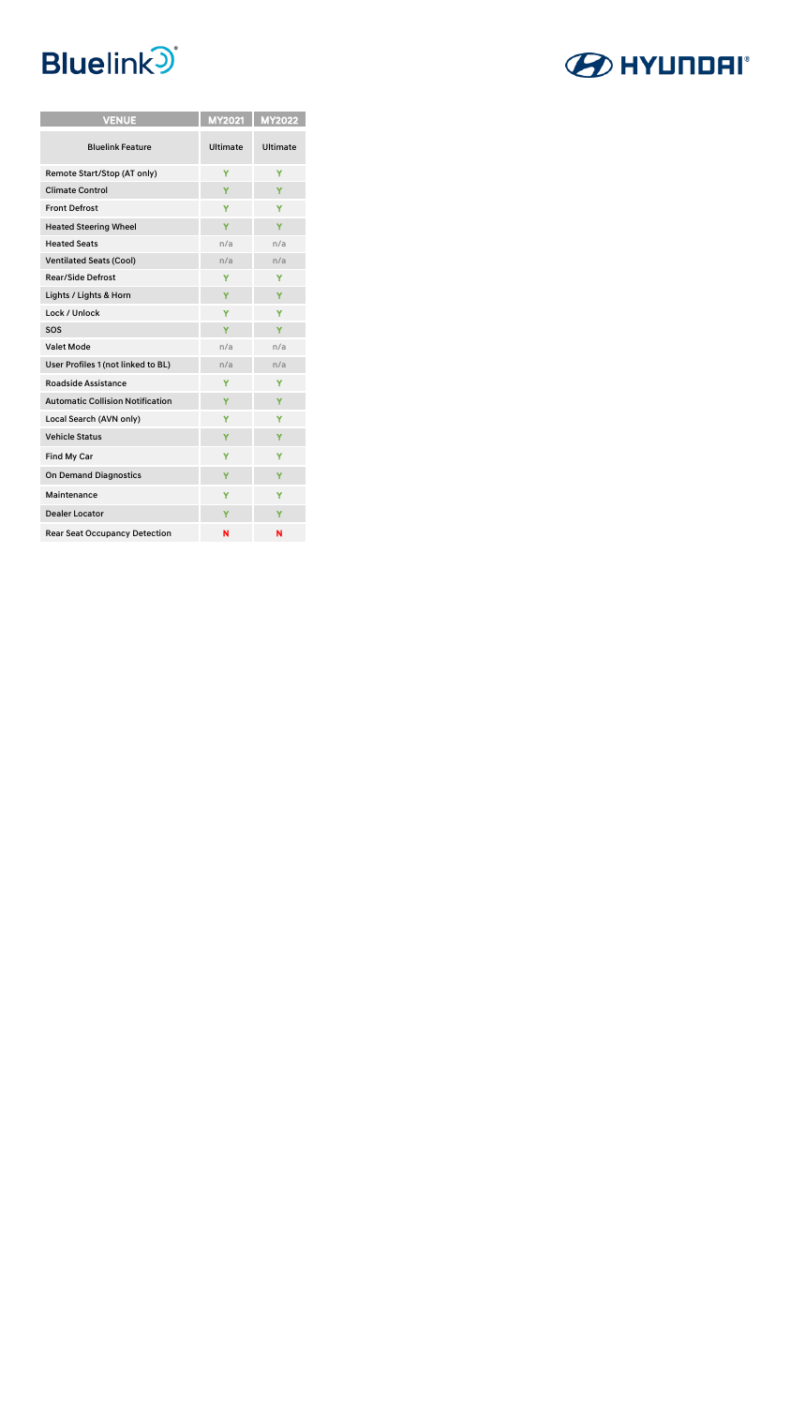

| <b>VENUE</b>                            |                 | MY2021   MY2022 |
|-----------------------------------------|-----------------|-----------------|
| <b>Bluelink Feature</b>                 | <b>Ultimate</b> | <b>Ultimate</b> |
| Remote Start/Stop (AT only)             | Y               | Y               |
| <b>Climate Control</b>                  | Ÿ               | Y               |
| <b>Front Defrost</b>                    | Y               | Y               |
| <b>Heated Steering Wheel</b>            | Υ               | Y               |
| <b>Heated Seats</b>                     | n/a             | n/a             |
| <b>Ventilated Seats (Cool)</b>          | n/a             | n/a             |
| <b>Rear/Side Defrost</b>                | Y               | Y               |
| Lights / Lights & Horn                  | Ÿ               | Y               |
| Lock / Unlock                           | Ÿ               | Y               |
| SOS                                     | Y               | Y               |
| <b>Valet Mode</b>                       | n/a             | n/a             |
| User Profiles 1 (not linked to BL)      | n/a             | n/a             |
| <b>Roadside Assistance</b>              | Y               | Y               |
| <b>Automatic Collision Notification</b> | Y               | Y               |
| Local Search (AVN only)                 | Y               | Y               |
| <b>Vehicle Status</b>                   | Ÿ               | Y               |
| Find My Car                             | Y               | Y               |
| <b>On Demand Diagnostics</b>            | Y               | Y               |
| Maintenance                             | Y               | Y               |
| <b>Dealer Locator</b>                   | Y               | Y               |
| <b>Rear Seat Occupancy Detection</b>    | N               | N               |